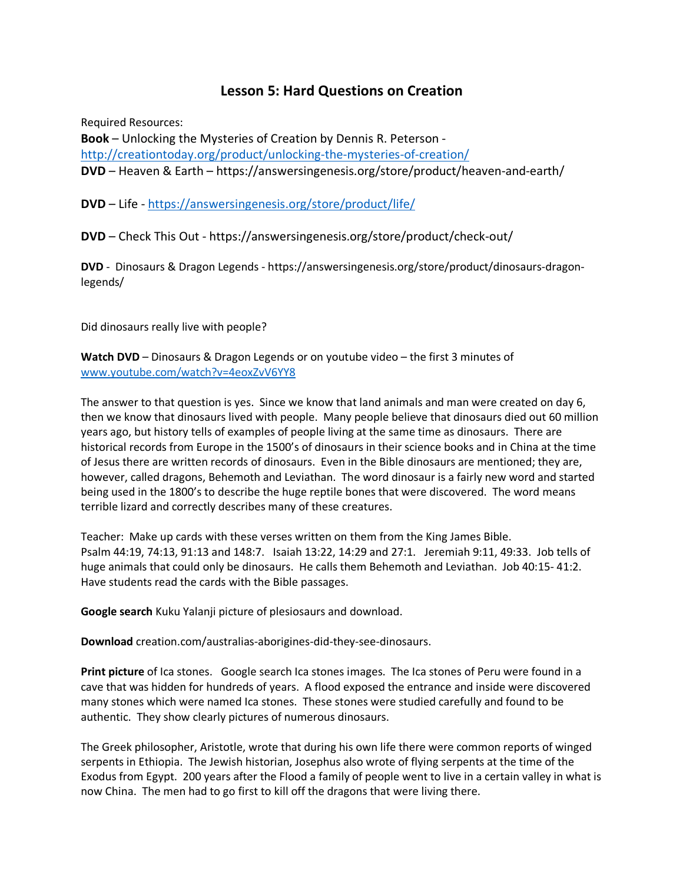# **Lesson 5: Hard Questions on Creation**

Required Resources: **Book** – Unlocking the Mysteries of Creation by Dennis R. Peterson http://creationtoday.org/product/unlocking-the-mysteries-of-creation/ **DVD** – Heaven & Earth – https://answersingenesis.org/store/product/heaven-and-earth/

**DVD** – Life - https://answersingenesis.org/store/product/life/

**DVD** – Check This Out - https://answersingenesis.org/store/product/check-out/

**DVD** - Dinosaurs & Dragon Legends - https://answersingenesis.org/store/product/dinosaurs-dragonlegends/

Did dinosaurs really live with people?

**Watch DVD** – Dinosaurs & Dragon Legends or on youtube video – the first 3 minutes of www.youtube.com/watch?v=4eoxZvV6YY8

The answer to that question is yes. Since we know that land animals and man were created on day 6, then we know that dinosaurs lived with people. Many people believe that dinosaurs died out 60 million years ago, but history tells of examples of people living at the same time as dinosaurs. There are historical records from Europe in the 1500's of dinosaurs in their science books and in China at the time of Jesus there are written records of dinosaurs. Even in the Bible dinosaurs are mentioned; they are, however, called dragons, Behemoth and Leviathan. The word dinosaur is a fairly new word and started being used in the 1800's to describe the huge reptile bones that were discovered. The word means terrible lizard and correctly describes many of these creatures.

Teacher: Make up cards with these verses written on them from the King James Bible. Psalm 44:19, 74:13, 91:13 and 148:7. Isaiah 13:22, 14:29 and 27:1. Jeremiah 9:11, 49:33. Job tells of huge animals that could only be dinosaurs. He calls them Behemoth and Leviathan. Job 40:15- 41:2. Have students read the cards with the Bible passages.

**Google search** Kuku Yalanji picture of plesiosaurs and download.

**Download** creation.com/australias-aborigines-did-they-see-dinosaurs.

**Print picture** of Ica stones. Google search Ica stones images. The Ica stones of Peru were found in a cave that was hidden for hundreds of years. A flood exposed the entrance and inside were discovered many stones which were named Ica stones. These stones were studied carefully and found to be authentic. They show clearly pictures of numerous dinosaurs.

The Greek philosopher, Aristotle, wrote that during his own life there were common reports of winged serpents in Ethiopia. The Jewish historian, Josephus also wrote of flying serpents at the time of the Exodus from Egypt. 200 years after the Flood a family of people went to live in a certain valley in what is now China. The men had to go first to kill off the dragons that were living there.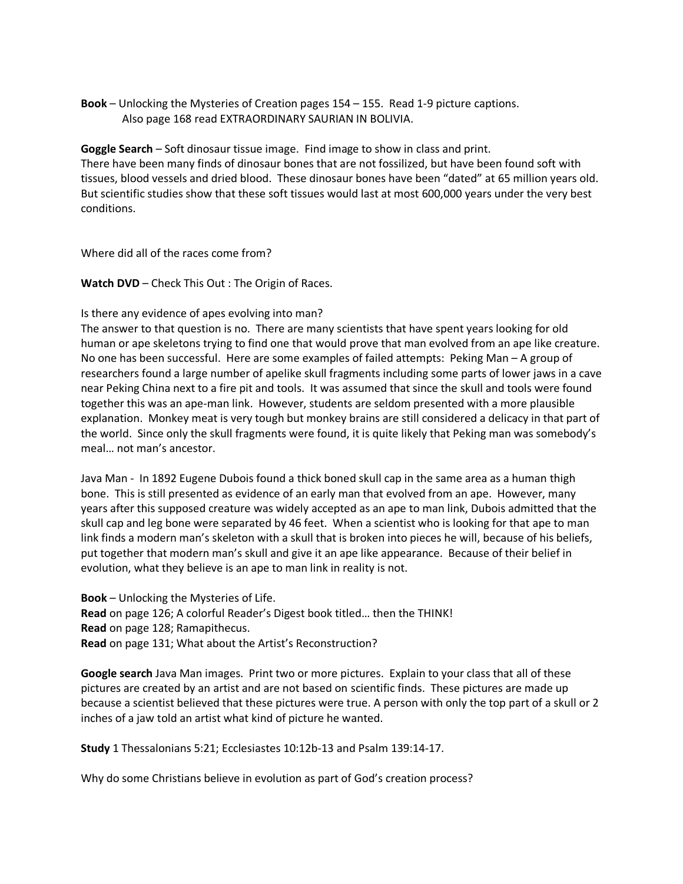# **Book** – Unlocking the Mysteries of Creation pages 154 – 155. Read 1-9 picture captions. Also page 168 read EXTRAORDINARY SAURIAN IN BOLIVIA.

**Goggle Search** – Soft dinosaur tissue image. Find image to show in class and print. There have been many finds of dinosaur bones that are not fossilized, but have been found soft with tissues, blood vessels and dried blood. These dinosaur bones have been "dated" at 65 million years old. But scientific studies show that these soft tissues would last at most 600,000 years under the very best conditions.

Where did all of the races come from?

**Watch DVD** – Check This Out : The Origin of Races.

## Is there any evidence of apes evolving into man?

The answer to that question is no. There are many scientists that have spent years looking for old human or ape skeletons trying to find one that would prove that man evolved from an ape like creature. No one has been successful. Here are some examples of failed attempts: Peking Man – A group of researchers found a large number of apelike skull fragments including some parts of lower jaws in a cave near Peking China next to a fire pit and tools. It was assumed that since the skull and tools were found together this was an ape-man link. However, students are seldom presented with a more plausible explanation. Monkey meat is very tough but monkey brains are still considered a delicacy in that part of the world. Since only the skull fragments were found, it is quite likely that Peking man was somebody's meal… not man's ancestor.

Java Man - In 1892 Eugene Dubois found a thick boned skull cap in the same area as a human thigh bone. This is still presented as evidence of an early man that evolved from an ape. However, many years after this supposed creature was widely accepted as an ape to man link, Dubois admitted that the skull cap and leg bone were separated by 46 feet. When a scientist who is looking for that ape to man link finds a modern man's skeleton with a skull that is broken into pieces he will, because of his beliefs, put together that modern man's skull and give it an ape like appearance. Because of their belief in evolution, what they believe is an ape to man link in reality is not.

**Book** – Unlocking the Mysteries of Life. **Read** on page 126; A colorful Reader's Digest book titled… then the THINK! **Read** on page 128; Ramapithecus. **Read** on page 131; What about the Artist's Reconstruction?

**Google search** Java Man images. Print two or more pictures. Explain to your class that all of these pictures are created by an artist and are not based on scientific finds. These pictures are made up because a scientist believed that these pictures were true. A person with only the top part of a skull or 2 inches of a jaw told an artist what kind of picture he wanted.

**Study** 1 Thessalonians 5:21; Ecclesiastes 10:12b-13 and Psalm 139:14-17.

Why do some Christians believe in evolution as part of God's creation process?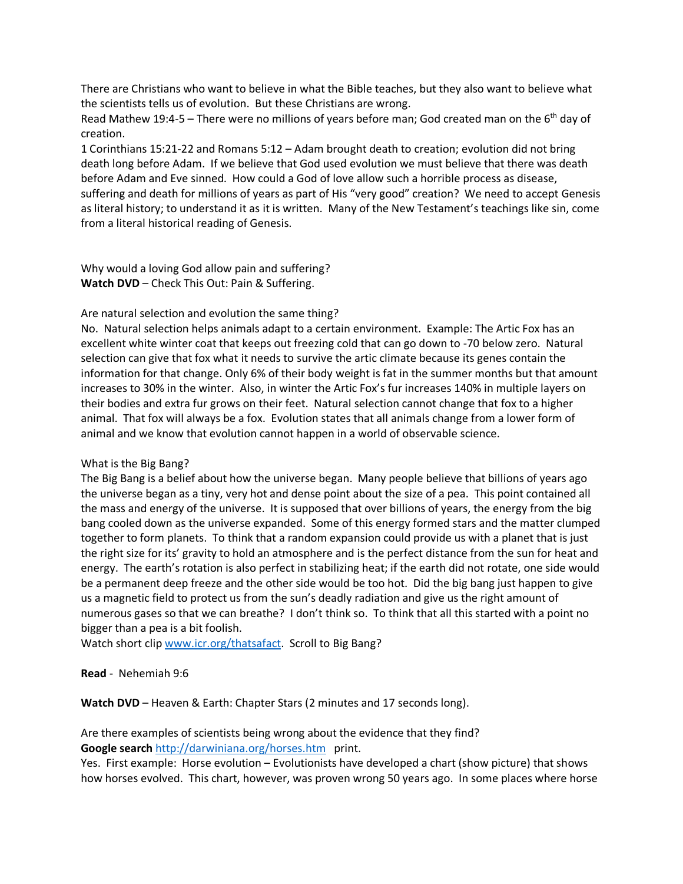There are Christians who want to believe in what the Bible teaches, but they also want to believe what the scientists tells us of evolution. But these Christians are wrong.

Read Mathew 19:4-5 – There were no millions of years before man; God created man on the  $6<sup>th</sup>$  day of creation.

1 Corinthians 15:21-22 and Romans 5:12 – Adam brought death to creation; evolution did not bring death long before Adam. If we believe that God used evolution we must believe that there was death before Adam and Eve sinned. How could a God of love allow such a horrible process as disease, suffering and death for millions of years as part of His "very good" creation? We need to accept Genesis as literal history; to understand it as it is written. Many of the New Testament's teachings like sin, come from a literal historical reading of Genesis.

Why would a loving God allow pain and suffering? **Watch DVD** – Check This Out: Pain & Suffering.

## Are natural selection and evolution the same thing?

No. Natural selection helps animals adapt to a certain environment. Example: The Artic Fox has an excellent white winter coat that keeps out freezing cold that can go down to -70 below zero. Natural selection can give that fox what it needs to survive the artic climate because its genes contain the information for that change. Only 6% of their body weight is fat in the summer months but that amount increases to 30% in the winter. Also, in winter the Artic Fox's fur increases 140% in multiple layers on their bodies and extra fur grows on their feet. Natural selection cannot change that fox to a higher animal. That fox will always be a fox. Evolution states that all animals change from a lower form of animal and we know that evolution cannot happen in a world of observable science.

#### What is the Big Bang?

The Big Bang is a belief about how the universe began. Many people believe that billions of years ago the universe began as a tiny, very hot and dense point about the size of a pea. This point contained all the mass and energy of the universe. It is supposed that over billions of years, the energy from the big bang cooled down as the universe expanded. Some of this energy formed stars and the matter clumped together to form planets. To think that a random expansion could provide us with a planet that is just the right size for its' gravity to hold an atmosphere and is the perfect distance from the sun for heat and energy. The earth's rotation is also perfect in stabilizing heat; if the earth did not rotate, one side would be a permanent deep freeze and the other side would be too hot. Did the big bang just happen to give us a magnetic field to protect us from the sun's deadly radiation and give us the right amount of numerous gases so that we can breathe? I don't think so. To think that all this started with a point no bigger than a pea is a bit foolish.

Watch short clip www.icr.org/thatsafact. Scroll to Big Bang?

**Read** - Nehemiah 9:6

**Watch DVD** – Heaven & Earth: Chapter Stars (2 minutes and 17 seconds long).

Are there examples of scientists being wrong about the evidence that they find? Google search http://darwiniana.org/horses.htm print.

Yes. First example: Horse evolution – Evolutionists have developed a chart (show picture) that shows how horses evolved. This chart, however, was proven wrong 50 years ago. In some places where horse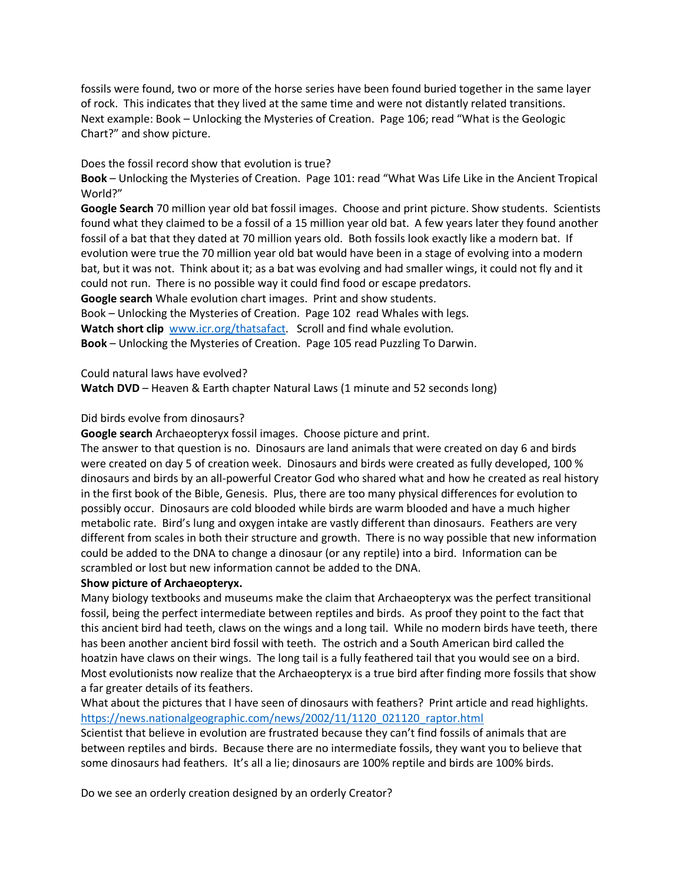fossils were found, two or more of the horse series have been found buried together in the same layer of rock. This indicates that they lived at the same time and were not distantly related transitions. Next example: Book – Unlocking the Mysteries of Creation. Page 106; read "What is the Geologic Chart?" and show picture.

## Does the fossil record show that evolution is true?

**Book** – Unlocking the Mysteries of Creation. Page 101: read "What Was Life Like in the Ancient Tropical World?"

**Google Search** 70 million year old bat fossil images. Choose and print picture. Show students. Scientists found what they claimed to be a fossil of a 15 million year old bat. A few years later they found another fossil of a bat that they dated at 70 million years old. Both fossils look exactly like a modern bat. If evolution were true the 70 million year old bat would have been in a stage of evolving into a modern bat, but it was not. Think about it; as a bat was evolving and had smaller wings, it could not fly and it could not run. There is no possible way it could find food or escape predators. **Google search** Whale evolution chart images. Print and show students. Book – Unlocking the Mysteries of Creation. Page 102 read Whales with legs. Watch short clip www.icr.org/thatsafact. Scroll and find whale evolution. **Book** – Unlocking the Mysteries of Creation. Page 105 read Puzzling To Darwin.

Could natural laws have evolved?

**Watch DVD** – Heaven & Earth chapter Natural Laws (1 minute and 52 seconds long)

## Did birds evolve from dinosaurs?

**Google search** Archaeopteryx fossil images. Choose picture and print.

The answer to that question is no. Dinosaurs are land animals that were created on day 6 and birds were created on day 5 of creation week. Dinosaurs and birds were created as fully developed, 100 % dinosaurs and birds by an all-powerful Creator God who shared what and how he created as real history in the first book of the Bible, Genesis. Plus, there are too many physical differences for evolution to possibly occur. Dinosaurs are cold blooded while birds are warm blooded and have a much higher metabolic rate. Bird's lung and oxygen intake are vastly different than dinosaurs. Feathers are very different from scales in both their structure and growth. There is no way possible that new information could be added to the DNA to change a dinosaur (or any reptile) into a bird. Information can be scrambled or lost but new information cannot be added to the DNA.

#### **Show picture of Archaeopteryx.**

Many biology textbooks and museums make the claim that Archaeopteryx was the perfect transitional fossil, being the perfect intermediate between reptiles and birds. As proof they point to the fact that this ancient bird had teeth, claws on the wings and a long tail. While no modern birds have teeth, there has been another ancient bird fossil with teeth. The ostrich and a South American bird called the hoatzin have claws on their wings. The long tail is a fully feathered tail that you would see on a bird. Most evolutionists now realize that the Archaeopteryx is a true bird after finding more fossils that show a far greater details of its feathers.

What about the pictures that I have seen of dinosaurs with feathers? Print article and read highlights. https://news.nationalgeographic.com/news/2002/11/1120\_021120\_raptor.html

Scientist that believe in evolution are frustrated because they can't find fossils of animals that are between reptiles and birds. Because there are no intermediate fossils, they want you to believe that some dinosaurs had feathers. It's all a lie; dinosaurs are 100% reptile and birds are 100% birds.

Do we see an orderly creation designed by an orderly Creator?